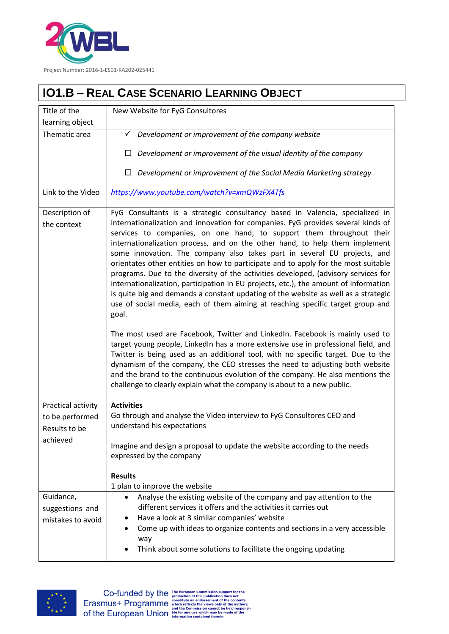

## **IO1.B – REAL CASE SCENARIO LEARNING OBJECT**

| Title of the                     | New Website for FyG Consultores                                                                                                                                                                                                                                                                                                                                                                                                                                                                                                                                                                                                                                                                                                                                                                                                                                                                                                                                                                                                                                                                                                                                                                                                                                                                                                                                |
|----------------------------------|----------------------------------------------------------------------------------------------------------------------------------------------------------------------------------------------------------------------------------------------------------------------------------------------------------------------------------------------------------------------------------------------------------------------------------------------------------------------------------------------------------------------------------------------------------------------------------------------------------------------------------------------------------------------------------------------------------------------------------------------------------------------------------------------------------------------------------------------------------------------------------------------------------------------------------------------------------------------------------------------------------------------------------------------------------------------------------------------------------------------------------------------------------------------------------------------------------------------------------------------------------------------------------------------------------------------------------------------------------------|
| learning object                  |                                                                                                                                                                                                                                                                                                                                                                                                                                                                                                                                                                                                                                                                                                                                                                                                                                                                                                                                                                                                                                                                                                                                                                                                                                                                                                                                                                |
| Thematic area                    | Development or improvement of the company website<br>$\checkmark$                                                                                                                                                                                                                                                                                                                                                                                                                                                                                                                                                                                                                                                                                                                                                                                                                                                                                                                                                                                                                                                                                                                                                                                                                                                                                              |
|                                  | Development or improvement of the visual identity of the company                                                                                                                                                                                                                                                                                                                                                                                                                                                                                                                                                                                                                                                                                                                                                                                                                                                                                                                                                                                                                                                                                                                                                                                                                                                                                               |
|                                  | Development or improvement of the Social Media Marketing strategy<br>$\Box$                                                                                                                                                                                                                                                                                                                                                                                                                                                                                                                                                                                                                                                                                                                                                                                                                                                                                                                                                                                                                                                                                                                                                                                                                                                                                    |
| Link to the Video                | https://www.youtube.com/watch?v=xmQWzFX4Tfs                                                                                                                                                                                                                                                                                                                                                                                                                                                                                                                                                                                                                                                                                                                                                                                                                                                                                                                                                                                                                                                                                                                                                                                                                                                                                                                    |
| Description of<br>the context    | FyG Consultants is a strategic consultancy based in Valencia, specialized in<br>internationalization and innovation for companies. FyG provides several kinds of<br>services to companies, on one hand, to support them throughout their<br>internationalization process, and on the other hand, to help them implement<br>some innovation. The company also takes part in several EU projects, and<br>orientates other entities on how to participate and to apply for the most suitable<br>programs. Due to the diversity of the activities developed, (advisory services for<br>internationalization, participation in EU projects, etc.), the amount of information<br>is quite big and demands a constant updating of the website as well as a strategic<br>use of social media, each of them aiming at reaching specific target group and<br>goal.<br>The most used are Facebook, Twitter and LinkedIn. Facebook is mainly used to<br>target young people, LinkedIn has a more extensive use in professional field, and<br>Twitter is being used as an additional tool, with no specific target. Due to the<br>dynamism of the company, the CEO stresses the need to adjusting both website<br>and the brand to the continuous evolution of the company. He also mentions the<br>challenge to clearly explain what the company is about to a new public. |
| Practical activity               | <b>Activities</b><br>Go through and analyse the Video interview to FyG Consultores CEO and                                                                                                                                                                                                                                                                                                                                                                                                                                                                                                                                                                                                                                                                                                                                                                                                                                                                                                                                                                                                                                                                                                                                                                                                                                                                     |
| to be performed<br>Results to be | understand his expectations                                                                                                                                                                                                                                                                                                                                                                                                                                                                                                                                                                                                                                                                                                                                                                                                                                                                                                                                                                                                                                                                                                                                                                                                                                                                                                                                    |
| achieved                         | Imagine and design a proposal to update the website according to the needs<br>expressed by the company                                                                                                                                                                                                                                                                                                                                                                                                                                                                                                                                                                                                                                                                                                                                                                                                                                                                                                                                                                                                                                                                                                                                                                                                                                                         |
|                                  | <b>Results</b>                                                                                                                                                                                                                                                                                                                                                                                                                                                                                                                                                                                                                                                                                                                                                                                                                                                                                                                                                                                                                                                                                                                                                                                                                                                                                                                                                 |
|                                  | 1 plan to improve the website                                                                                                                                                                                                                                                                                                                                                                                                                                                                                                                                                                                                                                                                                                                                                                                                                                                                                                                                                                                                                                                                                                                                                                                                                                                                                                                                  |
| Guidance,                        | Analyse the existing website of the company and pay attention to the<br>$\bullet$                                                                                                                                                                                                                                                                                                                                                                                                                                                                                                                                                                                                                                                                                                                                                                                                                                                                                                                                                                                                                                                                                                                                                                                                                                                                              |
| suggestions and                  | different services it offers and the activities it carries out                                                                                                                                                                                                                                                                                                                                                                                                                                                                                                                                                                                                                                                                                                                                                                                                                                                                                                                                                                                                                                                                                                                                                                                                                                                                                                 |
| mistakes to avoid                | Have a look at 3 similar companies' website<br>٠<br>Come up with ideas to organize contents and sections in a very accessible<br>way<br>Think about some solutions to facilitate the ongoing updating                                                                                                                                                                                                                                                                                                                                                                                                                                                                                                                                                                                                                                                                                                                                                                                                                                                                                                                                                                                                                                                                                                                                                          |